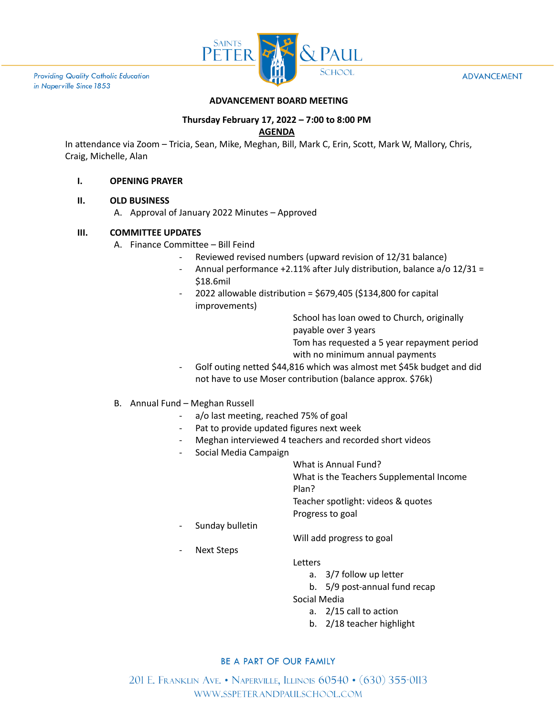

**Providing Quality Catholic Education** in Naperville Since 1853

#### **ADVANCEMENT**

## **ADVANCEMENT BOARD MEETING**

# **Thursday February 17, 2022 – 7:00 to 8:00 PM**

## **AGENDA**

In attendance via Zoom – Tricia, Sean, Mike, Meghan, Bill, Mark C, Erin, Scott, Mark W, Mallory, Chris, Craig, Michelle, Alan

## **I. OPENING PRAYER**

## **II. OLD BUSINESS**

A. Approval of January 2022 Minutes – Approved

## **III. COMMITTEE UPDATES**

- A. Finance Committee Bill Feind
	- Reviewed revised numbers (upward revision of 12/31 balance)
	- Annual performance +2.11% after July distribution, balance a/o 12/31 = \$18.6mil
	- 2022 allowable distribution =  $$679,405$  ( $$134,800$  for capital improvements)

School has loan owed to Church, originally payable over 3 years

Tom has requested a 5 year repayment period

with no minimum annual payments

Golf outing netted \$44,816 which was almost met \$45k budget and did not have to use Moser contribution (balance approx. \$76k)

## B. Annual Fund – Meghan Russell

- a/o last meeting, reached 75% of goal
- Pat to provide updated figures next week
- Meghan interviewed 4 teachers and recorded short videos
- Social Media Campaign

What is Annual Fund?

What is the Teachers Supplemental Income

Plan?

Teacher spotlight: videos & quotes Progress to goal

Sunday bulletin

Will add progress to goal

Next Steps

**Letters** 

- a. 3/7 follow up letter
- b. 5/9 post-annual fund recap

Social Media

- a. 2/15 call to action
- b. 2/18 teacher highlight

# BE A PART OF OUR FAMILY

201 E. FRANKLIN AVE. • NAPERVILLE, ILLINOIS 60540 • (630) 355-0113 WWW.SSPETERANDPAULSCHOOL.COM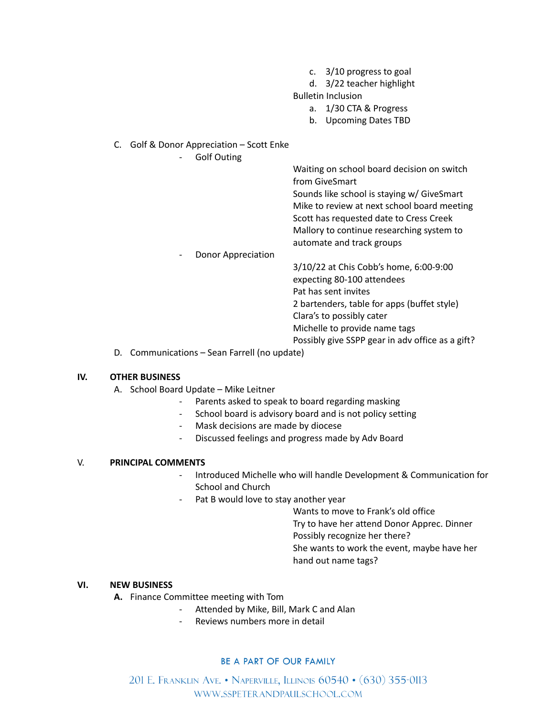- c. 3/10 progress to goal
- d. 3/22 teacher highlight

Bulletin Inclusion

- a. 1/30 CTA & Progress
- b. Upcoming Dates TBD
- C. Golf & Donor Appreciation Scott Enke

- Golf Outing

Waiting on school board decision on switch from GiveSmart Sounds like school is staying w/ GiveSmart Mike to review at next school board meeting

Scott has requested date to Cress Creek Mallory to continue researching system to automate and track groups

Donor Appreciation

3/10/22 at Chis Cobb's home, 6:00-9:00 expecting 80-100 attendees Pat has sent invites 2 bartenders, table for apps (buffet style) Clara's to possibly cater Michelle to provide name tags

- Possibly give SSPP gear in adv office as a gift?
- D. Communications Sean Farrell (no update)

## **IV. OTHER BUSINESS**

- A. School Board Update Mike Leitner
	- Parents asked to speak to board regarding masking
		- School board is advisory board and is not policy setting
	- Mask decisions are made by diocese
	- Discussed feelings and progress made by Adv Board

## V. **PRINCIPAL COMMENTS**

- Introduced Michelle who will handle Development & Communication for School and Church
- Pat B would love to stay another year

Wants to move to Frank's old office

Try to have her attend Donor Apprec. Dinner

Possibly recognize her there?

She wants to work the event, maybe have her hand out name tags?

# **VI. NEW BUSINESS**

- **A.** Finance Committee meeting with Tom
	- Attended by Mike, Bill, Mark C and Alan
	- Reviews numbers more in detail

# BE A PART OF OUR FAMILY

201 E. Franklin Ave. • Naperville, Illinois 60540 • (630) 355-0113 WWW.SSPETERANDPAULSCHOOL.COM